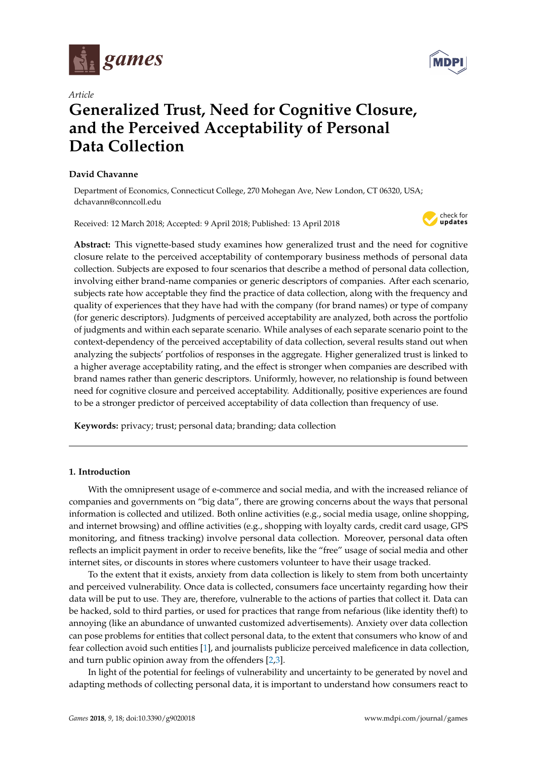



# **Generalized Trust, Need for Cognitive Closure, and the Perceived Acceptability of Personal Data Collection**

### **David Chavanne**

Department of Economics, Connecticut College, 270 Mohegan Ave, New London, CT 06320, USA; dchavann@conncoll.edu

Received: 12 March 2018; Accepted: 9 April 2018; Published: 13 April 2018



**Abstract:** This vignette-based study examines how generalized trust and the need for cognitive closure relate to the perceived acceptability of contemporary business methods of personal data collection. Subjects are exposed to four scenarios that describe a method of personal data collection, involving either brand-name companies or generic descriptors of companies. After each scenario, subjects rate how acceptable they find the practice of data collection, along with the frequency and quality of experiences that they have had with the company (for brand names) or type of company (for generic descriptors). Judgments of perceived acceptability are analyzed, both across the portfolio of judgments and within each separate scenario. While analyses of each separate scenario point to the context-dependency of the perceived acceptability of data collection, several results stand out when analyzing the subjects' portfolios of responses in the aggregate. Higher generalized trust is linked to a higher average acceptability rating, and the effect is stronger when companies are described with brand names rather than generic descriptors. Uniformly, however, no relationship is found between need for cognitive closure and perceived acceptability. Additionally, positive experiences are found to be a stronger predictor of perceived acceptability of data collection than frequency of use.

**Keywords:** privacy; trust; personal data; branding; data collection

# **1. Introduction**

With the omnipresent usage of e-commerce and social media, and with the increased reliance of companies and governments on "big data", there are growing concerns about the ways that personal information is collected and utilized. Both online activities (e.g., social media usage, online shopping, and internet browsing) and offline activities (e.g., shopping with loyalty cards, credit card usage, GPS monitoring, and fitness tracking) involve personal data collection. Moreover, personal data often reflects an implicit payment in order to receive benefits, like the "free" usage of social media and other internet sites, or discounts in stores where customers volunteer to have their usage tracked.

To the extent that it exists, anxiety from data collection is likely to stem from both uncertainty and perceived vulnerability. Once data is collected, consumers face uncertainty regarding how their data will be put to use. They are, therefore, vulnerable to the actions of parties that collect it. Data can be hacked, sold to third parties, or used for practices that range from nefarious (like identity theft) to annoying (like an abundance of unwanted customized advertisements). Anxiety over data collection can pose problems for entities that collect personal data, to the extent that consumers who know of and fear collection avoid such entities [\[1\]](#page-13-0), and journalists publicize perceived maleficence in data collection, and turn public opinion away from the offenders [\[2,](#page-13-1)[3\]](#page-13-2).

In light of the potential for feelings of vulnerability and uncertainty to be generated by novel and adapting methods of collecting personal data, it is important to understand how consumers react to

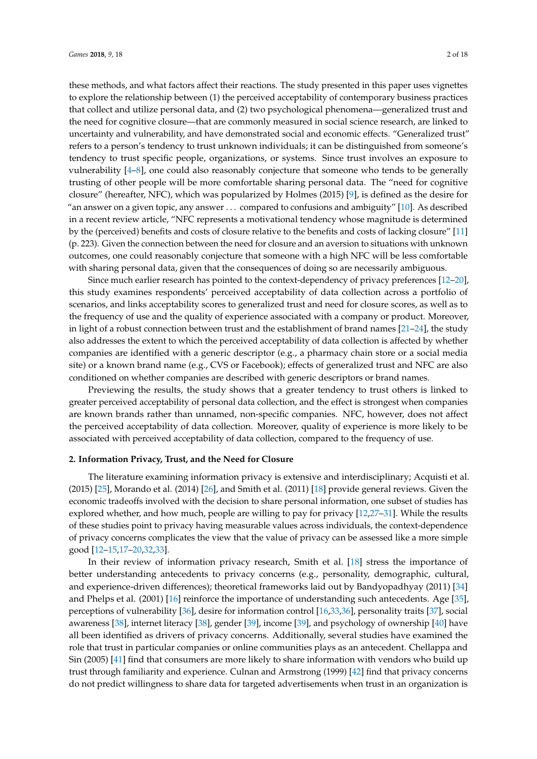these methods, and what factors affect their reactions. The study presented in this paper uses vignettes to explore the relationship between (1) the perceived acceptability of contemporary business practices that collect and utilize personal data, and (2) two psychological phenomena—generalized trust and the need for cognitive closure—that are commonly measured in social science research, are linked to uncertainty and vulnerability, and have demonstrated social and economic effects. "Generalized trust" refers to a person's tendency to trust unknown individuals; it can be distinguished from someone's tendency to trust specific people, organizations, or systems. Since trust involves an exposure to vulnerability [\[4](#page-13-3)[–8\]](#page-13-4), one could also reasonably conjecture that someone who tends to be generally trusting of other people will be more comfortable sharing personal data. The "need for cognitive closure" (hereafter, NFC), which was popularized by Holmes (2015) [\[9\]](#page-13-5), is defined as the desire for "an answer on a given topic, any answer . . . compared to confusions and ambiguity" [\[10\]](#page-13-6). As described in a recent review article, "NFC represents a motivational tendency whose magnitude is determined by the (perceived) benefits and costs of closure relative to the benefits and costs of lacking closure" [\[11\]](#page-13-7) (p. 223). Given the connection between the need for closure and an aversion to situations with unknown outcomes, one could reasonably conjecture that someone with a high NFC will be less comfortable with sharing personal data, given that the consequences of doing so are necessarily ambiguous.

Since much earlier research has pointed to the context-dependency of privacy preferences [\[12](#page-13-8)[–20\]](#page-14-0), this study examines respondents' perceived acceptability of data collection across a portfolio of scenarios, and links acceptability scores to generalized trust and need for closure scores, as well as to the frequency of use and the quality of experience associated with a company or product. Moreover, in light of a robust connection between trust and the establishment of brand names  $[21-24]$  $[21-24]$ , the study also addresses the extent to which the perceived acceptability of data collection is affected by whether companies are identified with a generic descriptor (e.g., a pharmacy chain store or a social media site) or a known brand name (e.g., CVS or Facebook); effects of generalized trust and NFC are also conditioned on whether companies are described with generic descriptors or brand names.

Previewing the results, the study shows that a greater tendency to trust others is linked to greater perceived acceptability of personal data collection, and the effect is strongest when companies are known brands rather than unnamed, non-specific companies. NFC, however, does not affect the perceived acceptability of data collection. Moreover, quality of experience is more likely to be associated with perceived acceptability of data collection, compared to the frequency of use.

#### **2. Information Privacy, Trust, and the Need for Closure**

The literature examining information privacy is extensive and interdisciplinary; Acquisti et al. (2015) [\[25\]](#page-14-3), Morando et al. (2014) [\[26\]](#page-14-4), and Smith et al. (2011) [\[18\]](#page-14-5) provide general reviews. Given the economic tradeoffs involved with the decision to share personal information, one subset of studies has explored whether, and how much, people are willing to pay for privacy [\[12](#page-13-8)[,27](#page-14-6)[–31\]](#page-14-7). While the results of these studies point to privacy having measurable values across individuals, the context-dependence of privacy concerns complicates the view that the value of privacy can be assessed like a more simple good [\[12–](#page-13-8)[15](#page-13-9)[,17](#page-13-10)[–20,](#page-14-0)[32,](#page-14-8)[33\]](#page-14-9).

In their review of information privacy research, Smith et al. [\[18\]](#page-14-5) stress the importance of better understanding antecedents to privacy concerns (e.g., personality, demographic, cultural, and experience-driven differences); theoretical frameworks laid out by Bandyopadhyay (2011) [\[34\]](#page-14-10) and Phelps et al. (2001) [\[16\]](#page-13-11) reinforce the importance of understanding such antecedents. Age [\[35\]](#page-14-11), perceptions of vulnerability [\[36\]](#page-14-12), desire for information control [\[16](#page-13-11)[,33](#page-14-9)[,36\]](#page-14-12), personality traits [\[37\]](#page-14-13), social awareness [\[38\]](#page-14-14), internet literacy [\[38\]](#page-14-14), gender [\[39\]](#page-14-15), income [\[39\]](#page-14-15), and psychology of ownership [\[40\]](#page-14-16) have all been identified as drivers of privacy concerns. Additionally, several studies have examined the role that trust in particular companies or online communities plays as an antecedent. Chellappa and Sin (2005) [\[41\]](#page-15-0) find that consumers are more likely to share information with vendors who build up trust through familiarity and experience. Culnan and Armstrong (1999) [\[42\]](#page-15-1) find that privacy concerns do not predict willingness to share data for targeted advertisements when trust in an organization is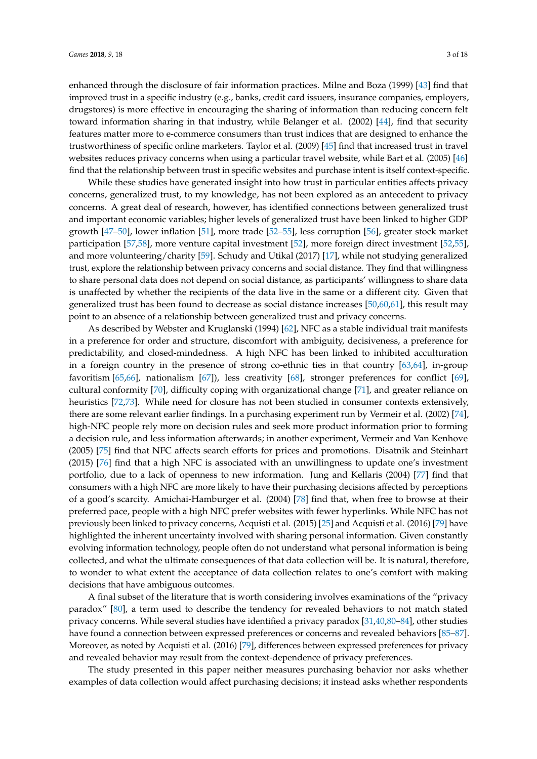enhanced through the disclosure of fair information practices. Milne and Boza (1999) [\[43\]](#page-15-2) find that improved trust in a specific industry (e.g., banks, credit card issuers, insurance companies, employers, drugstores) is more effective in encouraging the sharing of information than reducing concern felt toward information sharing in that industry, while Belanger et al. (2002) [\[44\]](#page-15-3), find that security features matter more to e-commerce consumers than trust indices that are designed to enhance the trustworthiness of specific online marketers. Taylor et al. (2009) [\[45\]](#page-15-4) find that increased trust in travel websites reduces privacy concerns when using a particular travel website, while Bart et al. (2005) [\[46\]](#page-15-5) find that the relationship between trust in specific websites and purchase intent is itself context-specific.

While these studies have generated insight into how trust in particular entities affects privacy concerns, generalized trust, to my knowledge, has not been explored as an antecedent to privacy concerns. A great deal of research, however, has identified connections between generalized trust and important economic variables; higher levels of generalized trust have been linked to higher GDP growth [\[47–](#page-15-6)[50\]](#page-15-7), lower inflation [\[51\]](#page-15-8), more trade [\[52](#page-15-9)[–55\]](#page-15-10), less corruption [\[56\]](#page-15-11), greater stock market participation [\[57](#page-15-12)[,58\]](#page-15-13), more venture capital investment [\[52\]](#page-15-9), more foreign direct investment [\[52,](#page-15-9)[55\]](#page-15-10), and more volunteering/charity [\[59\]](#page-15-14). Schudy and Utikal (2017) [\[17\]](#page-13-10), while not studying generalized trust, explore the relationship between privacy concerns and social distance. They find that willingness to share personal data does not depend on social distance, as participants' willingness to share data is unaffected by whether the recipients of the data live in the same or a different city. Given that generalized trust has been found to decrease as social distance increases [\[50,](#page-15-7)[60,](#page-15-15)[61\]](#page-15-16), this result may point to an absence of a relationship between generalized trust and privacy concerns.

As described by Webster and Kruglanski (1994) [\[62\]](#page-15-17), NFC as a stable individual trait manifests in a preference for order and structure, discomfort with ambiguity, decisiveness, a preference for predictability, and closed-mindedness. A high NFC has been linked to inhibited acculturation in a foreign country in the presence of strong co-ethnic ties in that country [\[63](#page-15-18)[,64\]](#page-15-19), in-group favoritism [\[65,](#page-15-20)[66\]](#page-15-21), nationalism [\[67\]](#page-15-22)), less creativity [\[68\]](#page-16-0), stronger preferences for conflict [\[69\]](#page-16-1), cultural conformity [\[70\]](#page-16-2), difficulty coping with organizational change [\[71\]](#page-16-3), and greater reliance on heuristics [\[72,](#page-16-4)[73\]](#page-16-5). While need for closure has not been studied in consumer contexts extensively, there are some relevant earlier findings. In a purchasing experiment run by Vermeir et al. (2002) [\[74\]](#page-16-6), high-NFC people rely more on decision rules and seek more product information prior to forming a decision rule, and less information afterwards; in another experiment, Vermeir and Van Kenhove (2005) [\[75\]](#page-16-7) find that NFC affects search efforts for prices and promotions. Disatnik and Steinhart (2015) [\[76\]](#page-16-8) find that a high NFC is associated with an unwillingness to update one's investment portfolio, due to a lack of openness to new information. Jung and Kellaris (2004) [\[77\]](#page-16-9) find that consumers with a high NFC are more likely to have their purchasing decisions affected by perceptions of a good's scarcity. Amichai-Hamburger et al. (2004) [\[78\]](#page-16-10) find that, when free to browse at their preferred pace, people with a high NFC prefer websites with fewer hyperlinks. While NFC has not previously been linked to privacy concerns, Acquisti et al. (2015) [\[25\]](#page-14-3) and Acquisti et al. (2016) [\[79\]](#page-16-11) have highlighted the inherent uncertainty involved with sharing personal information. Given constantly evolving information technology, people often do not understand what personal information is being collected, and what the ultimate consequences of that data collection will be. It is natural, therefore, to wonder to what extent the acceptance of data collection relates to one's comfort with making decisions that have ambiguous outcomes.

A final subset of the literature that is worth considering involves examinations of the "privacy paradox" [\[80\]](#page-16-12), a term used to describe the tendency for revealed behaviors to not match stated privacy concerns. While several studies have identified a privacy paradox [\[31,](#page-14-7)[40,](#page-14-16)[80](#page-16-12)[–84\]](#page-16-13), other studies have found a connection between expressed preferences or concerns and revealed behaviors [\[85–](#page-16-14)[87\]](#page-16-15). Moreover, as noted by Acquisti et al. (2016) [\[79\]](#page-16-11), differences between expressed preferences for privacy and revealed behavior may result from the context-dependence of privacy preferences.

The study presented in this paper neither measures purchasing behavior nor asks whether examples of data collection would affect purchasing decisions; it instead asks whether respondents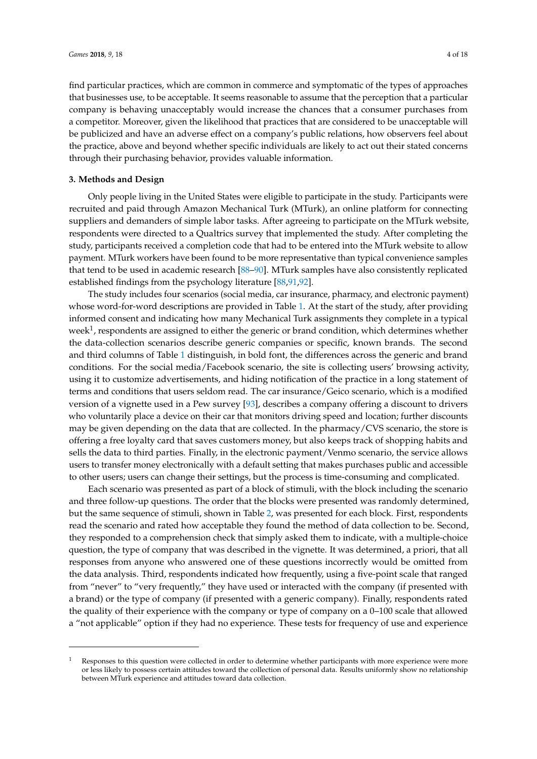find particular practices, which are common in commerce and symptomatic of the types of approaches that businesses use, to be acceptable. It seems reasonable to assume that the perception that a particular company is behaving unacceptably would increase the chances that a consumer purchases from a competitor. Moreover, given the likelihood that practices that are considered to be unacceptable will be publicized and have an adverse effect on a company's public relations, how observers feel about the practice, above and beyond whether specific individuals are likely to act out their stated concerns through their purchasing behavior, provides valuable information.

#### **3. Methods and Design**

Only people living in the United States were eligible to participate in the study. Participants were recruited and paid through Amazon Mechanical Turk (MTurk), an online platform for connecting suppliers and demanders of simple labor tasks. After agreeing to participate on the MTurk website, respondents were directed to a Qualtrics survey that implemented the study. After completing the study, participants received a completion code that had to be entered into the MTurk website to allow payment. MTurk workers have been found to be more representative than typical convenience samples that tend to be used in academic research [\[88](#page-16-16)[–90\]](#page-16-17). MTurk samples have also consistently replicated established findings from the psychology literature [\[88,](#page-16-16)[91](#page-16-18)[,92\]](#page-17-0).

The study includes four scenarios (social media, car insurance, pharmacy, and electronic payment) whose word-for-word descriptions are provided in Table [1.](#page-4-0) At the start of the study, after providing informed consent and indicating how many Mechanical Turk assignments they complete in a typical week<sup>1</sup>, respondents are assigned to either the generic or brand condition, which determines whether the data-collection scenarios describe generic companies or specific, known brands. The second and third columns of Table [1](#page-4-0) distinguish, in bold font, the differences across the generic and brand conditions. For the social media/Facebook scenario, the site is collecting users' browsing activity, using it to customize advertisements, and hiding notification of the practice in a long statement of terms and conditions that users seldom read. The car insurance/Geico scenario, which is a modified version of a vignette used in a Pew survey [\[93\]](#page-17-1), describes a company offering a discount to drivers who voluntarily place a device on their car that monitors driving speed and location; further discounts may be given depending on the data that are collected. In the pharmacy/CVS scenario, the store is offering a free loyalty card that saves customers money, but also keeps track of shopping habits and sells the data to third parties. Finally, in the electronic payment/Venmo scenario, the service allows users to transfer money electronically with a default setting that makes purchases public and accessible to other users; users can change their settings, but the process is time-consuming and complicated.

Each scenario was presented as part of a block of stimuli, with the block including the scenario and three follow-up questions. The order that the blocks were presented was randomly determined, but the same sequence of stimuli, shown in Table [2,](#page-4-1) was presented for each block. First, respondents read the scenario and rated how acceptable they found the method of data collection to be. Second, they responded to a comprehension check that simply asked them to indicate, with a multiple-choice question, the type of company that was described in the vignette. It was determined, a priori, that all responses from anyone who answered one of these questions incorrectly would be omitted from the data analysis. Third, respondents indicated how frequently, using a five-point scale that ranged from "never" to "very frequently," they have used or interacted with the company (if presented with a brand) or the type of company (if presented with a generic company). Finally, respondents rated the quality of their experience with the company or type of company on a 0–100 scale that allowed a "not applicable" option if they had no experience. These tests for frequency of use and experience

Responses to this question were collected in order to determine whether participants with more experience were more or less likely to possess certain attitudes toward the collection of personal data. Results uniformly show no relationship between MTurk experience and attitudes toward data collection.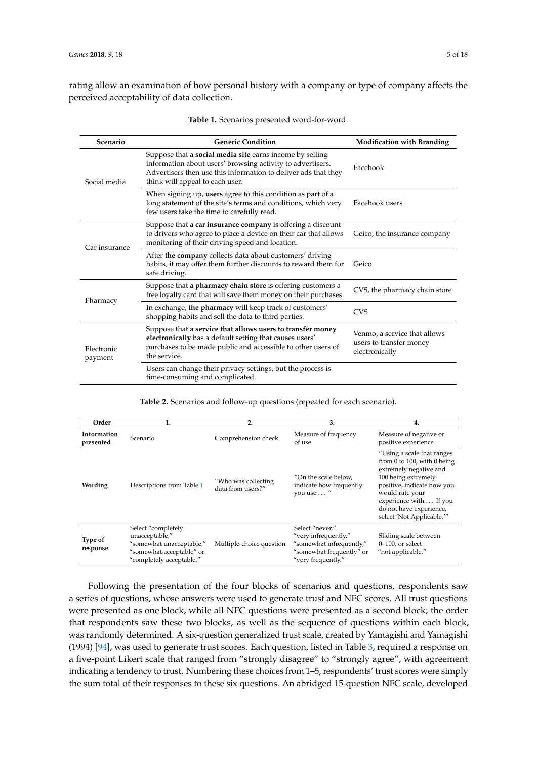<span id="page-4-0"></span>rating allow an examination of how personal history with a company or type of company affects the perceived acceptability of data collection.

| Scenario              | <b>Generic Condition</b>                                                                                                                                                                                                           | <b>Modification with Branding</b>                                         |
|-----------------------|------------------------------------------------------------------------------------------------------------------------------------------------------------------------------------------------------------------------------------|---------------------------------------------------------------------------|
| Social media          | Suppose that a <b>social media site</b> earns income by selling<br>information about users' browsing activity to advertisers.<br>Advertisers then use this information to deliver ads that they<br>think will appeal to each user. | Facebook                                                                  |
|                       | When signing up, users agree to this condition as part of a<br>long statement of the site's terms and conditions, which very<br>few users take the time to carefully read.                                                         | Facebook users                                                            |
| Car insurance         | Suppose that <b>a car insurance company</b> is offering a discount<br>to drivers who agree to place a device on their car that allows<br>monitoring of their driving speed and location.                                           | Geico, the insurance company                                              |
|                       | After the company collects data about customers' driving<br>habits, it may offer them further discounts to reward them for<br>safe driving.                                                                                        | Geico                                                                     |
| Pharmacy              | Suppose that a pharmacy chain store is offering customers a<br>free loyalty card that will save them money on their purchases.                                                                                                     | CVS, the pharmacy chain store                                             |
|                       | In exchange, the pharmacy will keep track of customers'<br>shopping habits and sell the data to third parties.                                                                                                                     | <b>CVS</b>                                                                |
| Electronic<br>payment | Suppose that a service that allows users to transfer money<br>electronically has a default setting that causes users'<br>purchases to be made public and accessible to other users of<br>the service.                              | Venmo, a service that allows<br>users to transfer money<br>electronically |
|                       | Users can change their privacy settings, but the process is<br>time-consuming and complicated.                                                                                                                                     |                                                                           |

**Table 2.** Scenarios and follow-up questions (repeated for each scenario).

<span id="page-4-1"></span>

| Order                    | 1.                                                                                                                       | 2.                                       | 3.                                                                                                                    | 4.                                                                                                                                                                                                                                            |
|--------------------------|--------------------------------------------------------------------------------------------------------------------------|------------------------------------------|-----------------------------------------------------------------------------------------------------------------------|-----------------------------------------------------------------------------------------------------------------------------------------------------------------------------------------------------------------------------------------------|
| Information<br>presented | Scenario                                                                                                                 | Comprehension check                      | Measure of frequency<br>of use                                                                                        | Measure of negative or<br>positive experience                                                                                                                                                                                                 |
| Wording                  | Descriptions from Table 1                                                                                                | "Who was collecting<br>data from users?" | "On the scale below,<br>indicate how frequently<br>you use  "                                                         | "Using a scale that ranges<br>from 0 to 100, with 0 being<br>extremely negative and<br>100 being extremely<br>positive, indicate how you<br>would rate your<br>experience with If you<br>do not have experience,<br>select 'Not Applicable.'" |
| Type of<br>response      | Select "completely<br>unacceptable,"<br>"somewhat unacceptable,"<br>"somewhat acceptable" or<br>"completely acceptable." | Multiple-choice question                 | Select "never,"<br>"very infrequently,"<br>"somewhat infrequently,"<br>"somewhat frequently" or<br>"very frequently." | Sliding scale between<br>$0-100$ , or select<br>"not applicable."                                                                                                                                                                             |

Following the presentation of the four blocks of scenarios and questions, respondents saw a series of questions, whose answers were used to generate trust and NFC scores. All trust questions were presented as one block, while all NFC questions were presented as a second block; the order that respondents saw these two blocks, as well as the sequence of questions within each block, was randomly determined. A six-question generalized trust scale, created by Yamagishi and Yamagishi (1994) [\[94\]](#page-17-2), was used to generate trust scores. Each question, listed in Table [3,](#page-5-0) required a response on a five-point Likert scale that ranged from "strongly disagree" to "strongly agree", with agreement indicating a tendency to trust. Numbering these choices from 1–5, respondents' trust scores were simply the sum total of their responses to these six questions. An abridged 15-question NFC scale, developed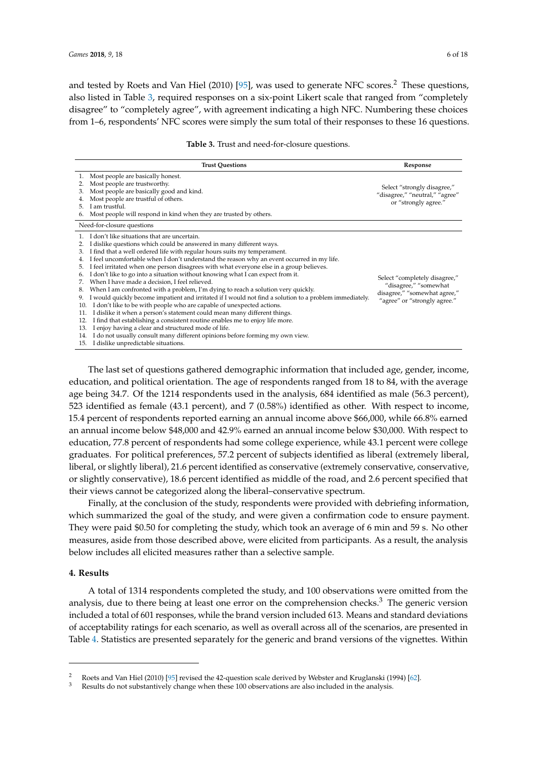and tested by Roets and Van Hiel (2010) [\[95\]](#page-17-3), was used to generate NFC scores.<sup>2</sup> These questions, also listed in Table [3,](#page-5-0) required responses on a six-point Likert scale that ranged from "completely disagree" to "completely agree", with agreement indicating a high NFC. Numbering these choices from 1–6, respondents' NFC scores were simply the sum total of their responses to these 16 questions.

|  |  | <b>Table 3.</b> Trust and need-for-closure questions. |  |  |
|--|--|-------------------------------------------------------|--|--|
|--|--|-------------------------------------------------------|--|--|

<span id="page-5-0"></span>

| <b>Trust Questions</b>                                                                                                                                                                                                                                                                                                                                                                                                                                                                                                                                                                                                                                                                                                                                                                                                                                                                                                                                                                                                                                                                                                                                                                                                       | Response                                                                                                               |
|------------------------------------------------------------------------------------------------------------------------------------------------------------------------------------------------------------------------------------------------------------------------------------------------------------------------------------------------------------------------------------------------------------------------------------------------------------------------------------------------------------------------------------------------------------------------------------------------------------------------------------------------------------------------------------------------------------------------------------------------------------------------------------------------------------------------------------------------------------------------------------------------------------------------------------------------------------------------------------------------------------------------------------------------------------------------------------------------------------------------------------------------------------------------------------------------------------------------------|------------------------------------------------------------------------------------------------------------------------|
| Most people are basically honest.<br>Most people are trustworthy.<br>Most people are basically good and kind.<br>3.<br>Most people are trustful of others.<br>I am trustful.<br>5.<br>Most people will respond in kind when they are trusted by others.<br>6.                                                                                                                                                                                                                                                                                                                                                                                                                                                                                                                                                                                                                                                                                                                                                                                                                                                                                                                                                                | Select "strongly disagree,"<br>"disagree," "neutral," "agree"<br>or "strongly agree."                                  |
| Need-for-closure questions                                                                                                                                                                                                                                                                                                                                                                                                                                                                                                                                                                                                                                                                                                                                                                                                                                                                                                                                                                                                                                                                                                                                                                                                   |                                                                                                                        |
| I don't like situations that are uncertain.<br>I dislike questions which could be answered in many different ways.<br>I find that a well ordered life with regular hours suits my temperament.<br>3.<br>I feel uncomfortable when I don't understand the reason why an event occurred in my life.<br>4.<br>I feel irritated when one person disagrees with what everyone else in a group believes.<br>5.<br>I don't like to go into a situation without knowing what I can expect from it.<br>6.<br>When I have made a decision, I feel relieved.<br>7.<br>When I am confronted with a problem, I'm dying to reach a solution very quickly.<br>8.<br>I would quickly become impatient and irritated if I would not find a solution to a problem immediately.<br>9.<br>I don't like to be with people who are capable of unexpected actions.<br>10.<br>I dislike it when a person's statement could mean many different things.<br>11.<br>I find that establishing a consistent routine enables me to enjoy life more.<br>12.<br>I enjoy having a clear and structured mode of life.<br>13.<br>I do not usually consult many different opinions before forming my own view.<br>14.<br>15. I dislike unpredictable situations. | Select "completely disagree,"<br>"disagree," "somewhat<br>disagree," "somewhat agree,"<br>"agree" or "strongly agree." |

The last set of questions gathered demographic information that included age, gender, income, education, and political orientation. The age of respondents ranged from 18 to 84, with the average age being 34.7. Of the 1214 respondents used in the analysis, 684 identified as male (56.3 percent), 523 identified as female (43.1 percent), and 7 (0.58%) identified as other. With respect to income, 15.4 percent of respondents reported earning an annual income above \$66,000, while 66.8% earned an annual income below \$48,000 and 42.9% earned an annual income below \$30,000. With respect to education, 77.8 percent of respondents had some college experience, while 43.1 percent were college graduates. For political preferences, 57.2 percent of subjects identified as liberal (extremely liberal, liberal, or slightly liberal), 21.6 percent identified as conservative (extremely conservative, conservative, or slightly conservative), 18.6 percent identified as middle of the road, and 2.6 percent specified that their views cannot be categorized along the liberal–conservative spectrum.

Finally, at the conclusion of the study, respondents were provided with debriefing information, which summarized the goal of the study, and were given a confirmation code to ensure payment. They were paid \$0.50 for completing the study, which took an average of 6 min and 59 s. No other measures, aside from those described above, were elicited from participants. As a result, the analysis below includes all elicited measures rather than a selective sample.

#### **4. Results**

A total of 1314 respondents completed the study, and 100 observations were omitted from the analysis, due to there being at least one error on the comprehension checks.<sup>3</sup> The generic version included a total of 601 responses, while the brand version included 613. Means and standard deviations of acceptability ratings for each scenario, as well as overall across all of the scenarios, are presented in Table [4.](#page-6-0) Statistics are presented separately for the generic and brand versions of the vignettes. Within

<sup>2</sup> Roets and Van Hiel (2010) [\[95\]](#page-17-3) revised the 42-question scale derived by Webster and Kruglanski (1994) [\[62\]](#page-15-17).

Results do not substantively change when these 100 observations are also included in the analysis.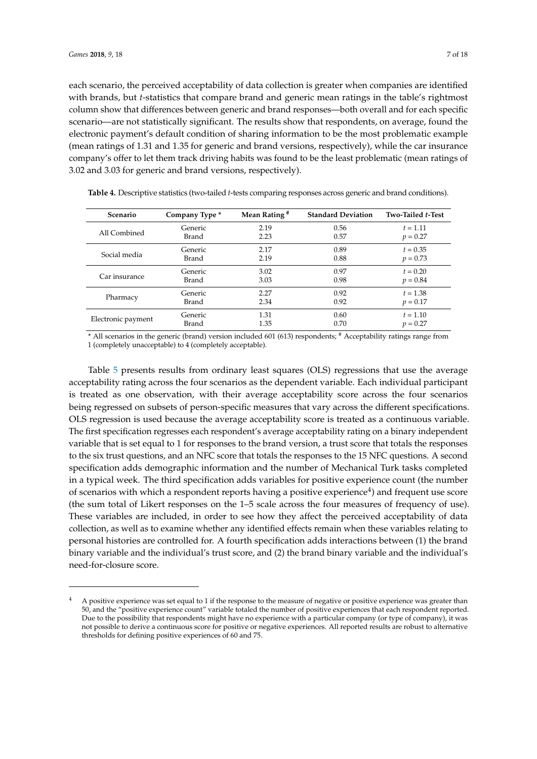each scenario, the perceived acceptability of data collection is greater when companies are identified with brands, but *t*-statistics that compare brand and generic mean ratings in the table's rightmost column show that differences between generic and brand responses—both overall and for each specific scenario—are not statistically significant. The results show that respondents, on average, found the electronic payment's default condition of sharing information to be the most problematic example (mean ratings of 1.31 and 1.35 for generic and brand versions, respectively), while the car insurance company's offer to let them track driving habits was found to be the least problematic (mean ratings of 3.02 and 3.03 for generic and brand versions, respectively).

| <b>Scenario</b>    | Company Type *   | Mean Rating <sup>#</sup> | <b>Standard Deviation</b> | Two-Tailed t-Test |
|--------------------|------------------|--------------------------|---------------------------|-------------------|
| All Combined       | Generic<br>Brand | 2.19<br>2.23             | 0.56                      | $t = 1.11$        |
|                    |                  |                          | 0.57                      | $p = 0.27$        |
| Social media       | Generic          | 2.17                     | 0.89                      | $t = 0.35$        |
|                    | Brand            | 2.19                     | 0.88                      | $p = 0.73$        |
|                    | Generic          | 3.02                     | 0.97                      | $t = 0.20$        |
| Car insurance      | Brand            | 3.03                     | 0.98                      | $p = 0.84$        |
| Pharmacy           | Generic          | 2.27                     | 0.92                      | $t = 1.38$        |
|                    | Brand            | 2.34                     | 0.92                      | $p = 0.17$        |
| Electronic payment | Generic          | 1.31                     | 0.60                      | $t = 1.10$        |
|                    | Brand            | 1.35                     | 0.70                      | $p = 0.27$        |

<span id="page-6-0"></span>**Table 4.** Descriptive statistics (two-tailed *t*-tests comparing responses across generic and brand conditions).

\* All scenarios in the generic (brand) version included 601 (613) respondents; # Acceptability ratings range from 1 (completely unacceptable) to 4 (completely acceptable).

Table [5](#page-7-0) presents results from ordinary least squares (OLS) regressions that use the average acceptability rating across the four scenarios as the dependent variable. Each individual participant is treated as one observation, with their average acceptability score across the four scenarios being regressed on subsets of person-specific measures that vary across the different specifications. OLS regression is used because the average acceptability score is treated as a continuous variable. The first specification regresses each respondent's average acceptability rating on a binary independent variable that is set equal to 1 for responses to the brand version, a trust score that totals the responses to the six trust questions, and an NFC score that totals the responses to the 15 NFC questions. A second specification adds demographic information and the number of Mechanical Turk tasks completed in a typical week. The third specification adds variables for positive experience count (the number of scenarios with which a respondent reports having a positive experience<sup>4</sup>) and frequent use score (the sum total of Likert responses on the 1–5 scale across the four measures of frequency of use). These variables are included, in order to see how they affect the perceived acceptability of data collection, as well as to examine whether any identified effects remain when these variables relating to personal histories are controlled for. A fourth specification adds interactions between (1) the brand binary variable and the individual's trust score, and (2) the brand binary variable and the individual's need-for-closure score.

<sup>4</sup> A positive experience was set equal to 1 if the response to the measure of negative or positive experience was greater than 50, and the "positive experience count" variable totaled the number of positive experiences that each respondent reported. Due to the possibility that respondents might have no experience with a particular company (or type of company), it was not possible to derive a continuous score for positive or negative experiences. All reported results are robust to alternative thresholds for defining positive experiences of 60 and 75.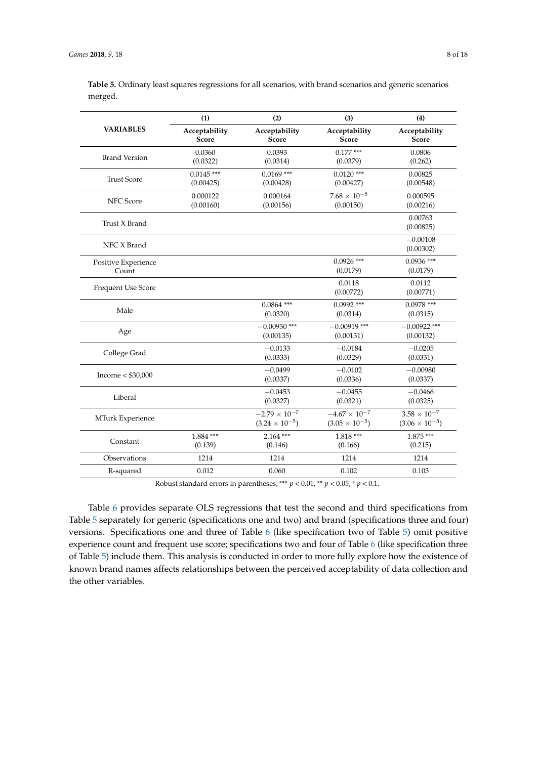|                              | (1)                           | (2)                                               | (3)                                             | (4)                                              |
|------------------------------|-------------------------------|---------------------------------------------------|-------------------------------------------------|--------------------------------------------------|
| <b>VARIABLES</b>             | Acceptability<br><b>Score</b> | Acceptability<br>Score                            | Acceptability<br>Score                          | Acceptability<br>Score                           |
| <b>Brand Version</b>         | 0.0360<br>(0.0322)            | 0.0393<br>(0.0314)                                | $0.177***$<br>(0.0379)                          | 0.0806<br>(0.262)                                |
| <b>Trust Score</b>           | $0.0145$ ***<br>(0.00425)     | $0.0169$ ***<br>(0.00428)                         | $0.0120$ ***<br>(0.00427)                       | 0.00825<br>(0.00548)                             |
| <b>NFC</b> Score             | 0.000122<br>(0.00160)         | 0.000164<br>(0.00156)                             | $7.68 \times 10^{-5}$<br>(0.00150)              | 0.000595<br>(0.00216)                            |
| Trust X Brand                |                               |                                                   |                                                 | 0.00763<br>(0.00825)                             |
| NFC X Brand                  |                               |                                                   |                                                 | $-0.00108$<br>(0.00302)                          |
| Positive Experience<br>Count |                               |                                                   | $0.0926$ ***<br>(0.0179)                        | $0.0936$ ***<br>(0.0179)                         |
| Frequent Use Score           |                               |                                                   | 0.0118<br>(0.00772)                             | 0.0112<br>(0.00771)                              |
| Male                         |                               | $0.0864$ ***<br>(0.0320)                          | $0.0992$ ***<br>(0.0314)                        | $0.0978$ ***<br>(0.0315)                         |
| Age                          |                               | $-0.00950$ ***<br>(0.00135)                       | $-0.00919$ ***<br>(0.00131)                     | $-0.00922$ ***<br>(0.00132)                      |
| College Grad                 |                               | $-0.0133$<br>(0.0333)                             | $-0.0184$<br>(0.0329)                           | $-0.0205$<br>(0.0331)                            |
| Income $<$ \$30,000          |                               | $-0.0499$<br>(0.0337)                             | $-0.0102$<br>(0.0336)                           | $-0.00980$<br>(0.0337)                           |
| Liberal                      |                               | $-0.0453$<br>(0.0327)                             | $-0.0455$<br>(0.0321)                           | $-0.0466$<br>(0.0325)                            |
| MTurk Experience             |                               | $-2.79 \times 10^{-7}$<br>$(3.24 \times 10^{-5})$ | $-4.67\times10^{-7}$<br>$(3.05 \times 10^{-5})$ | $3.58 \times 10^{-7}$<br>$(3.06 \times 10^{-5})$ |
| Constant                     | $1.884$ ***<br>(0.139)        | $2.164$ ***<br>(0.146)                            | $1.818***$<br>(0.166)                           | $1.875***$<br>(0.215)                            |
| Observations                 | 1214                          | 1214                                              | 1214                                            | 1214                                             |
| R-squared                    | 0.012                         | 0.060                                             | 0.102                                           | 0.103                                            |

<span id="page-7-0"></span>**Table 5.** Ordinary least squares regressions for all scenarios, with brand scenarios and generic scenarios merged.

Robust standard errors in parentheses; \*\*\*  $p < 0.01$ , \*\*  $p < 0.05$ , \*  $p < 0.1$ .

Table [6](#page-8-0) provides separate OLS regressions that test the second and third specifications from Table [5](#page-7-0) separately for generic (specifications one and two) and brand (specifications three and four) versions. Specifications one and three of Table [6](#page-8-0) (like specification two of Table [5\)](#page-7-0) omit positive experience count and frequent use score; specifications two and four of Table [6](#page-8-0) (like specification three of Table [5\)](#page-7-0) include them. This analysis is conducted in order to more fully explore how the existence of known brand names affects relationships between the perceived acceptability of data collection and the other variables.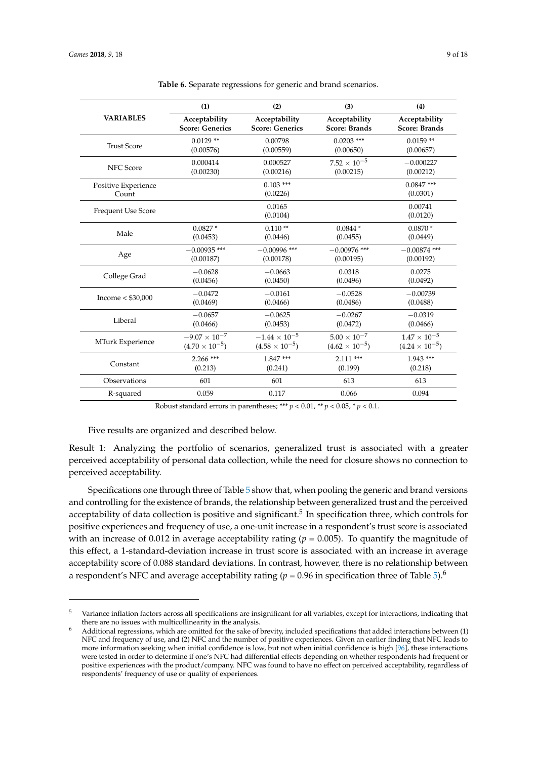<span id="page-8-0"></span>

|                              | (1)                     | (2)                     | (3)                     | (4)                      |
|------------------------------|-------------------------|-------------------------|-------------------------|--------------------------|
| <b>VARIABLES</b>             | Acceptability           | Acceptability           | Acceptability           | Acceptability            |
|                              | <b>Score: Generics</b>  | <b>Score: Generics</b>  | <b>Score: Brands</b>    | <b>Score: Brands</b>     |
| <b>Trust Score</b>           | $0.0129**$              | 0.00798                 | $0.0203$ ***            | $0.0159**$               |
|                              | (0.00576)               | (0.00559)               | (0.00650)               | (0.00657)                |
| <b>NFC</b> Score             | 0.000414                | 0.000527                | $7.52 \times 10^{-5}$   | $-0.000227$              |
|                              | (0.00230)               | (0.00216)               | (0.00215)               | (0.00212)                |
| Positive Experience<br>Count |                         | $0.103***$<br>(0.0226)  |                         | $0.0847$ ***<br>(0.0301) |
| <b>Frequent Use Score</b>    |                         | 0.0165<br>(0.0104)      |                         | 0.00741<br>(0.0120)      |
| Male                         | $0.0827*$               | $0.110**$               | $0.0844*$               | $0.0870*$                |
|                              | (0.0453)                | (0.0446)                | (0.0455)                | (0.0449)                 |
| Age                          | $-0.00935$ ***          | $-0.00996$ ***          | $-0.00976$ ***          | $-0.00874$ ***           |
|                              | (0.00187)               | (0.00178)               | (0.00195)               | (0.00192)                |
| College Grad                 | $-0.0628$               | $-0.0663$               | 0.0318                  | 0.0275                   |
|                              | (0.0456)                | (0.0450)                | (0.0496)                | (0.0492)                 |
| Income $<$ \$30,000          | $-0.0472$               | $-0.0161$               | $-0.0528$               | $-0.00739$               |
|                              | (0.0469)                | (0.0466)                | (0.0486)                | (0.0488)                 |
| Liberal                      | $-0.0657$               | $-0.0625$               | $-0.0267$               | $-0.0319$                |
|                              | (0.0466)                | (0.0453)                | (0.0472)                | (0.0466)                 |
| MTurk Experience             | $-9.07 \times 10^{-7}$  | $-1.44 \times 10^{-5}$  | $5.00\times10^{-7}$     | $1.47\times10^{-5}$      |
|                              | $(4.70 \times 10^{-5})$ | $(4.58 \times 10^{-5})$ | $(4.62 \times 10^{-5})$ | $(4.24 \times 10^{-5})$  |
| Constant                     | $2.266$ ***             | $1.847***$              | $2.111***$              | $1.943***$               |
|                              | (0.213)                 | (0.241)                 | (0.199)                 | (0.218)                  |
| Observations                 | 601                     | 601                     | 613                     | 613                      |
| R-squared                    | 0.059                   | 0.117                   | 0.066                   | 0.094                    |

**Table 6.** Separate regressions for generic and brand scenarios.

Robust standard errors in parentheses; \*\*\*  $p < 0.01$ , \*\*  $p < 0.05$ , \*  $p < 0.1$ .

Five results are organized and described below.

Result 1: Analyzing the portfolio of scenarios, generalized trust is associated with a greater perceived acceptability of personal data collection, while the need for closure shows no connection to perceived acceptability.

Specifications one through three of Table [5](#page-7-0) show that, when pooling the generic and brand versions and controlling for the existence of brands, the relationship between generalized trust and the perceived acceptability of data collection is positive and significant.<sup>5</sup> In specification three, which controls for positive experiences and frequency of use, a one-unit increase in a respondent's trust score is associated with an increase of 0.012 in average acceptability rating ( $p = 0.005$ ). To quantify the magnitude of this effect, a 1-standard-deviation increase in trust score is associated with an increase in average acceptability score of 0.088 standard deviations. In contrast, however, there is no relationship between a respondent's NFC and average acceptability rating ( $p = 0.96$  in specification three of Table [5\)](#page-7-0).<sup>6</sup>

<sup>5</sup> Variance inflation factors across all specifications are insignificant for all variables, except for interactions, indicating that there are no issues with multicollinearity in the analysis.

Additional regressions, which are omitted for the sake of brevity, included specifications that added interactions between (1) NFC and frequency of use, and (2) NFC and the number of positive experiences. Given an earlier finding that NFC leads to more information seeking when initial confidence is low, but not when initial confidence is high [\[96\]](#page-17-4), these interactions were tested in order to determine if one's NFC had differential effects depending on whether respondents had frequent or positive experiences with the product/company. NFC was found to have no effect on perceived acceptability, regardless of respondents' frequency of use or quality of experiences.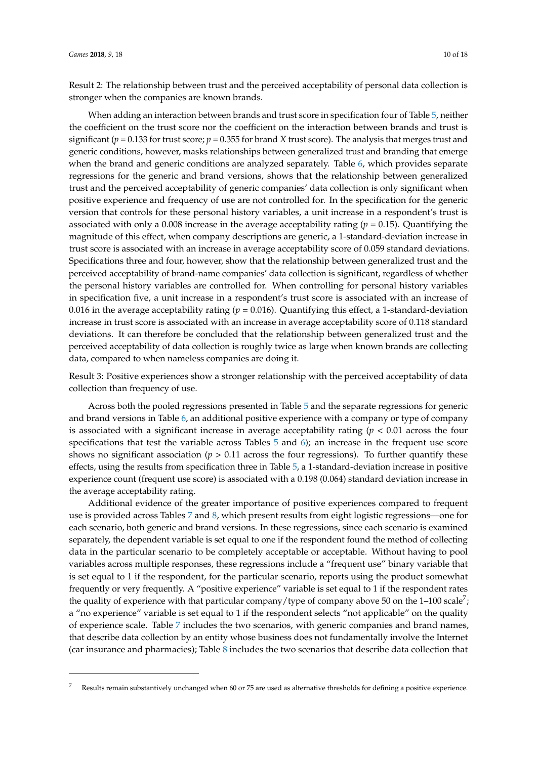Result 2: The relationship between trust and the perceived acceptability of personal data collection is stronger when the companies are known brands.

When adding an interaction between brands and trust score in specification four of Table [5,](#page-7-0) neither the coefficient on the trust score nor the coefficient on the interaction between brands and trust is significant ( $p = 0.133$  for trust score;  $p = 0.355$  for brand *X* trust score). The analysis that merges trust and generic conditions, however, masks relationships between generalized trust and branding that emerge when the brand and generic conditions are analyzed separately. Table [6,](#page-8-0) which provides separate regressions for the generic and brand versions, shows that the relationship between generalized trust and the perceived acceptability of generic companies' data collection is only significant when positive experience and frequency of use are not controlled for. In the specification for the generic version that controls for these personal history variables, a unit increase in a respondent's trust is associated with only a 0.008 increase in the average acceptability rating (*p* = 0.15). Quantifying the magnitude of this effect, when company descriptions are generic, a 1-standard-deviation increase in trust score is associated with an increase in average acceptability score of 0.059 standard deviations. Specifications three and four, however, show that the relationship between generalized trust and the perceived acceptability of brand-name companies' data collection is significant, regardless of whether the personal history variables are controlled for. When controlling for personal history variables in specification five, a unit increase in a respondent's trust score is associated with an increase of 0.016 in the average acceptability rating ( $p = 0.016$ ). Quantifying this effect, a 1-standard-deviation increase in trust score is associated with an increase in average acceptability score of 0.118 standard deviations. It can therefore be concluded that the relationship between generalized trust and the perceived acceptability of data collection is roughly twice as large when known brands are collecting data, compared to when nameless companies are doing it.

Result 3: Positive experiences show a stronger relationship with the perceived acceptability of data collection than frequency of use.

Across both the pooled regressions presented in Table [5](#page-7-0) and the separate regressions for generic and brand versions in Table [6,](#page-8-0) an additional positive experience with a company or type of company is associated with a significant increase in average acceptability rating  $(p < 0.01)$  across the four specifications that test the variable across Tables  $5$  and  $6$ ); an increase in the frequent use score shows no significant association ( $p > 0.11$  across the four regressions). To further quantify these effects, using the results from specification three in Table [5,](#page-7-0) a 1-standard-deviation increase in positive experience count (frequent use score) is associated with a 0.198 (0.064) standard deviation increase in the average acceptability rating.

Additional evidence of the greater importance of positive experiences compared to frequent use is provided across Tables [7](#page-10-0) and [8,](#page-11-0) which present results from eight logistic regressions—one for each scenario, both generic and brand versions. In these regressions, since each scenario is examined separately, the dependent variable is set equal to one if the respondent found the method of collecting data in the particular scenario to be completely acceptable or acceptable. Without having to pool variables across multiple responses, these regressions include a "frequent use" binary variable that is set equal to 1 if the respondent, for the particular scenario, reports using the product somewhat frequently or very frequently. A "positive experience" variable is set equal to 1 if the respondent rates the quality of experience with that particular company/type of company above 50 on the 1–100 scale<sup>7</sup>; a "no experience" variable is set equal to 1 if the respondent selects "not applicable" on the quality of experience scale. Table [7](#page-10-0) includes the two scenarios, with generic companies and brand names, that describe data collection by an entity whose business does not fundamentally involve the Internet (car insurance and pharmacies); Table [8](#page-11-0) includes the two scenarios that describe data collection that

<sup>7</sup> Results remain substantively unchanged when 60 or 75 are used as alternative thresholds for defining a positive experience.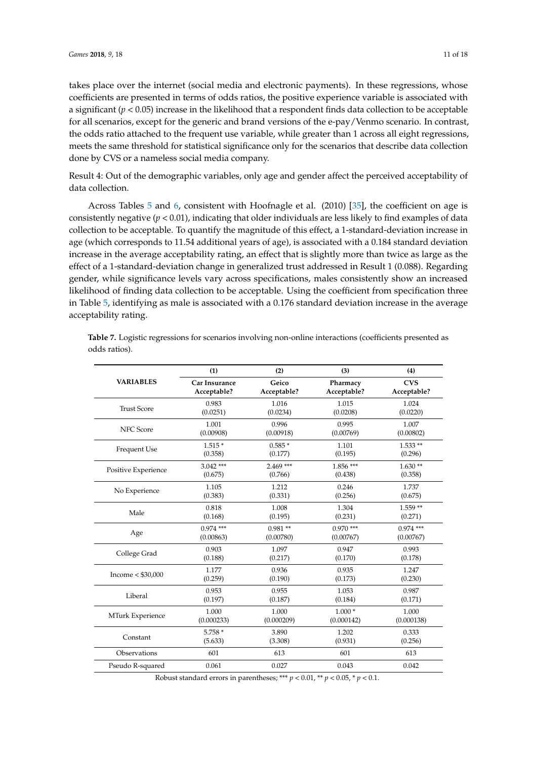takes place over the internet (social media and electronic payments). In these regressions, whose coefficients are presented in terms of odds ratios, the positive experience variable is associated with a significant ( $p < 0.05$ ) increase in the likelihood that a respondent finds data collection to be acceptable for all scenarios, except for the generic and brand versions of the e-pay/Venmo scenario. In contrast, the odds ratio attached to the frequent use variable, while greater than 1 across all eight regressions, meets the same threshold for statistical significance only for the scenarios that describe data collection done by CVS or a nameless social media company.

Result 4: Out of the demographic variables, only age and gender affect the perceived acceptability of data collection.

Across Tables [5](#page-7-0) and [6,](#page-8-0) consistent with Hoofnagle et al. (2010) [\[35\]](#page-14-11), the coefficient on age is consistently negative (*p* < 0.01), indicating that older individuals are less likely to find examples of data collection to be acceptable. To quantify the magnitude of this effect, a 1-standard-deviation increase in age (which corresponds to 11.54 additional years of age), is associated with a 0.184 standard deviation increase in the average acceptability rating, an effect that is slightly more than twice as large as the effect of a 1-standard-deviation change in generalized trust addressed in Result 1 (0.088). Regarding gender, while significance levels vary across specifications, males consistently show an increased likelihood of finding data collection to be acceptable. Using the coefficient from specification three in Table [5,](#page-7-0) identifying as male is associated with a 0.176 standard deviation increase in the average acceptability rating.

|                     | (1)           | (2)         | (3)         | (4)         |
|---------------------|---------------|-------------|-------------|-------------|
| <b>VARIABLES</b>    | Car Insurance | Geico       | Pharmacy    | <b>CVS</b>  |
|                     | Acceptable?   | Acceptable? | Acceptable? | Acceptable? |
| <b>Trust Score</b>  | 0.983         | 1.016       | 1.015       | 1.024       |
|                     | (0.0251)      | (0.0234)    | (0.0208)    | (0.0220)    |
| <b>NFC</b> Score    | 1.001         | 0.996       | 0.995       | 1.007       |
|                     | (0.00908)     | (0.00918)   | (0.00769)   | (0.00802)   |
| Frequent Use        | $1.515*$      | $0.585*$    | 1.101       | $1.533**$   |
|                     | (0.358)       | (0.177)     | (0.195)     | (0.296)     |
| Positive Experience | $3.042$ ***   | $2.469$ *** | $1.856***$  | $1.630**$   |
|                     | (0.675)       | (0.766)     | (0.438)     | (0.358)     |
| No Experience       | 1.105         | 1.212       | 0.246       | 1.737       |
|                     | (0.383)       | (0.331)     | (0.256)     | (0.675)     |
| Male                | 0.818         | 1.008       | 1.304       | $1.559**$   |
|                     | (0.168)       | (0.195)     | (0.231)     | (0.271)     |
| Age                 | $0.974$ ***   | $0.981**$   | $0.970$ *** | $0.974$ *** |
|                     | (0.00863)     | (0.00780)   | (0.00767)   | (0.00767)   |
| College Grad        | 0.903         | 1.097       | 0.947       | 0.993       |
|                     | (0.188)       | (0.217)     | (0.170)     | (0.178)     |
| Income $<$ \$30,000 | 1.177         | 0.936       | 0.935       | 1.247       |
|                     | (0.259)       | (0.190)     | (0.173)     | (0.230)     |
| Liberal             | 0.953         | 0.955       | 1.053       | 0.987       |
|                     | (0.197)       | (0.187)     | (0.184)     | (0.171)     |
| MTurk Experience    | 1.000         | 1.000       | $1.000*$    | 1.000       |
|                     | (0.000233)    | (0.000209)  | (0.000142)  | (0.000138)  |
| Constant            | 5.758 *       | 3.890       | 1.202       | 0.333       |
|                     | (5.633)       | (3.308)     | (0.931)     | (0.256)     |
| Observations        | 601           | 613         | 601         | 613         |
| Pseudo R-squared    | 0.061         | 0.027       | 0.043       | 0.042       |

<span id="page-10-0"></span>**Table 7.** Logistic regressions for scenarios involving non-online interactions (coefficients presented as odds ratios).

Robust standard errors in parentheses; \*\*\*  $p < 0.01$ , \*\*  $p < 0.05$ , \*  $p < 0.1$ .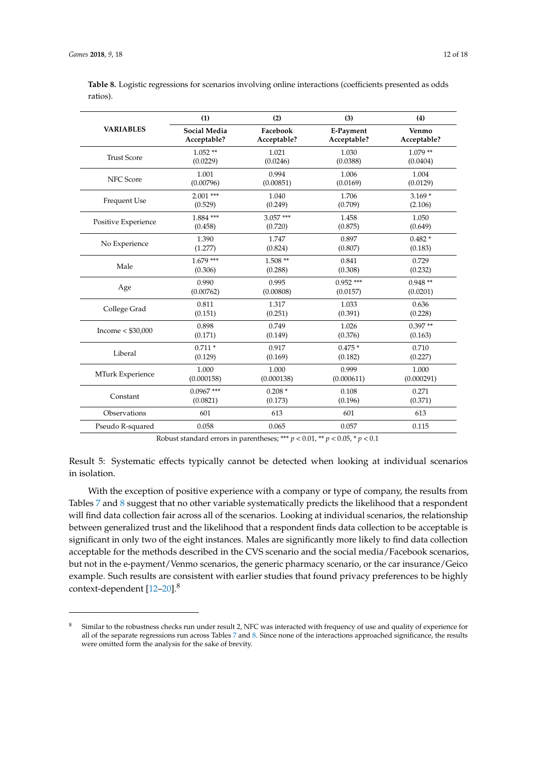|                     | (1)                 | (2)         | (3)         | (4)         |
|---------------------|---------------------|-------------|-------------|-------------|
| <b>VARIABLES</b>    | <b>Social Media</b> | Facebook    | E-Payment   | Venmo       |
|                     | Acceptable?         | Acceptable? | Acceptable? | Acceptable? |
| <b>Trust Score</b>  | $1.052**$           | 1.021       | 1.030       | $1.079**$   |
|                     | (0.0229)            | (0.0246)    | (0.0388)    | (0.0404)    |
| <b>NFC</b> Score    | 1.001               | 0.994       | 1.006       | 1.004       |
|                     | (0.00796)           | (0.00851)   | (0.0169)    | (0.0129)    |
| Frequent Use        | $2.001$ ***         | 1.040       | 1.706       | $3.169*$    |
|                     | (0.529)             | (0.249)     | (0.709)     | (2.106)     |
| Positive Experience | $1.884$ ***         | $3.057***$  | 1.458       | 1.050       |
|                     | (0.458)             | (0.720)     | (0.875)     | (0.649)     |
| No Experience       | 1.390               | 1.747       | 0.897       | $0.482*$    |
|                     | (1.277)             | (0.824)     | (0.807)     | (0.183)     |
| Male                | $1.679***$          | $1.508**$   | 0.841       | 0.729       |
|                     | (0.306)             | (0.288)     | (0.308)     | (0.232)     |
| Age                 | 0.990               | 0.995       | $0.952$ *** | $0.948**$   |
|                     | (0.00762)           | (0.00808)   | (0.0157)    | (0.0201)    |
| College Grad        | 0.811               | 1.317       | 1.033       | 0.636       |
|                     | (0.151)             | (0.251)     | (0.391)     | (0.228)     |
| Income $<$ \$30,000 | 0.898               | 0.749       | 1.026       | $0.397**$   |
|                     | (0.171)             | (0.149)     | (0.376)     | (0.163)     |
| Liberal             | $0.711*$            | 0.917       | $0.475*$    | 0.710       |
|                     | (0.129)             | (0.169)     | (0.182)     | (0.227)     |
| MTurk Experience    | 1.000               | 1.000       | 0.999       | 1.000       |
|                     | (0.000158)          | (0.000138)  | (0.000611)  | (0.000291)  |
| Constant            | $0.0967$ ***        | $0.208*$    | 0.108       | 0.271       |
|                     | (0.0821)            | (0.173)     | (0.196)     | (0.371)     |
| Observations        | 601                 | 613         | 601         | 613         |
| Pseudo R-squared    | 0.058               | 0.065       | 0.057       | 0.115       |

<span id="page-11-0"></span>**Table 8.** Logistic regressions for scenarios involving online interactions (coefficients presented as odds ratios).

Robust standard errors in parentheses; \*\*\*  $p < 0.01$ , \*\*  $p < 0.05$ , \*  $p < 0.1$ 

Result 5: Systematic effects typically cannot be detected when looking at individual scenarios in isolation.

With the exception of positive experience with a company or type of company, the results from Tables [7](#page-10-0) and [8](#page-11-0) suggest that no other variable systematically predicts the likelihood that a respondent will find data collection fair across all of the scenarios. Looking at individual scenarios, the relationship between generalized trust and the likelihood that a respondent finds data collection to be acceptable is significant in only two of the eight instances. Males are significantly more likely to find data collection acceptable for the methods described in the CVS scenario and the social media/Facebook scenarios, but not in the e-payment/Venmo scenarios, the generic pharmacy scenario, or the car insurance/Geico example. Such results are consistent with earlier studies that found privacy preferences to be highly context-dependent [\[12](#page-13-8)[–20\]](#page-14-0).<sup>8</sup>

Similar to the robustness checks run under result 2, NFC was interacted with frequency of use and quality of experience for all of the separate regressions run across Tables [7](#page-10-0) and [8.](#page-11-0) Since none of the interactions approached significance, the results were omitted form the analysis for the sake of brevity.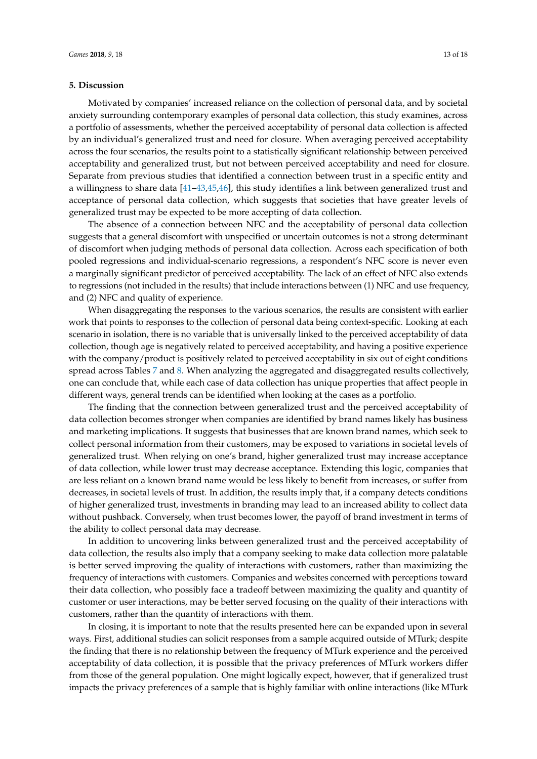#### **5. Discussion**

Motivated by companies' increased reliance on the collection of personal data, and by societal anxiety surrounding contemporary examples of personal data collection, this study examines, across a portfolio of assessments, whether the perceived acceptability of personal data collection is affected by an individual's generalized trust and need for closure. When averaging perceived acceptability across the four scenarios, the results point to a statistically significant relationship between perceived acceptability and generalized trust, but not between perceived acceptability and need for closure. Separate from previous studies that identified a connection between trust in a specific entity and a willingness to share data [\[41–](#page-15-0)[43](#page-15-2)[,45](#page-15-4)[,46\]](#page-15-5), this study identifies a link between generalized trust and acceptance of personal data collection, which suggests that societies that have greater levels of generalized trust may be expected to be more accepting of data collection.

The absence of a connection between NFC and the acceptability of personal data collection suggests that a general discomfort with unspecified or uncertain outcomes is not a strong determinant of discomfort when judging methods of personal data collection. Across each specification of both pooled regressions and individual-scenario regressions, a respondent's NFC score is never even a marginally significant predictor of perceived acceptability. The lack of an effect of NFC also extends to regressions (not included in the results) that include interactions between (1) NFC and use frequency, and (2) NFC and quality of experience.

When disaggregating the responses to the various scenarios, the results are consistent with earlier work that points to responses to the collection of personal data being context-specific. Looking at each scenario in isolation, there is no variable that is universally linked to the perceived acceptability of data collection, though age is negatively related to perceived acceptability, and having a positive experience with the company/product is positively related to perceived acceptability in six out of eight conditions spread across Tables [7](#page-10-0) and [8.](#page-11-0) When analyzing the aggregated and disaggregated results collectively, one can conclude that, while each case of data collection has unique properties that affect people in different ways, general trends can be identified when looking at the cases as a portfolio.

The finding that the connection between generalized trust and the perceived acceptability of data collection becomes stronger when companies are identified by brand names likely has business and marketing implications. It suggests that businesses that are known brand names, which seek to collect personal information from their customers, may be exposed to variations in societal levels of generalized trust. When relying on one's brand, higher generalized trust may increase acceptance of data collection, while lower trust may decrease acceptance. Extending this logic, companies that are less reliant on a known brand name would be less likely to benefit from increases, or suffer from decreases, in societal levels of trust. In addition, the results imply that, if a company detects conditions of higher generalized trust, investments in branding may lead to an increased ability to collect data without pushback. Conversely, when trust becomes lower, the payoff of brand investment in terms of the ability to collect personal data may decrease.

In addition to uncovering links between generalized trust and the perceived acceptability of data collection, the results also imply that a company seeking to make data collection more palatable is better served improving the quality of interactions with customers, rather than maximizing the frequency of interactions with customers. Companies and websites concerned with perceptions toward their data collection, who possibly face a tradeoff between maximizing the quality and quantity of customer or user interactions, may be better served focusing on the quality of their interactions with customers, rather than the quantity of interactions with them.

In closing, it is important to note that the results presented here can be expanded upon in several ways. First, additional studies can solicit responses from a sample acquired outside of MTurk; despite the finding that there is no relationship between the frequency of MTurk experience and the perceived acceptability of data collection, it is possible that the privacy preferences of MTurk workers differ from those of the general population. One might logically expect, however, that if generalized trust impacts the privacy preferences of a sample that is highly familiar with online interactions (like MTurk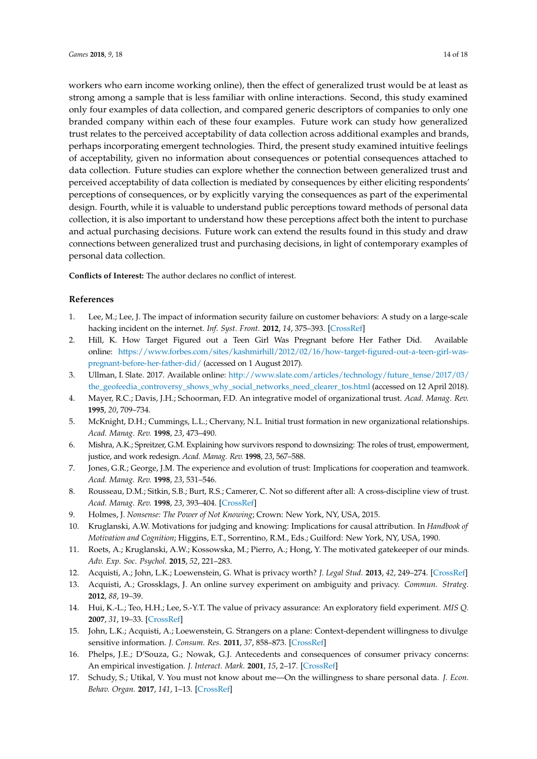workers who earn income working online), then the effect of generalized trust would be at least as strong among a sample that is less familiar with online interactions. Second, this study examined only four examples of data collection, and compared generic descriptors of companies to only one branded company within each of these four examples. Future work can study how generalized trust relates to the perceived acceptability of data collection across additional examples and brands, perhaps incorporating emergent technologies. Third, the present study examined intuitive feelings of acceptability, given no information about consequences or potential consequences attached to data collection. Future studies can explore whether the connection between generalized trust and perceived acceptability of data collection is mediated by consequences by either eliciting respondents' perceptions of consequences, or by explicitly varying the consequences as part of the experimental design. Fourth, while it is valuable to understand public perceptions toward methods of personal data collection, it is also important to understand how these perceptions affect both the intent to purchase and actual purchasing decisions. Future work can extend the results found in this study and draw connections between generalized trust and purchasing decisions, in light of contemporary examples of personal data collection.

**Conflicts of Interest:** The author declares no conflict of interest.

## **References**

- <span id="page-13-0"></span>1. Lee, M.; Lee, J. The impact of information security failure on customer behaviors: A study on a large-scale hacking incident on the internet. *Inf. Syst. Front.* **2012**, *14*, 375–393. [\[CrossRef\]](http://dx.doi.org/10.1007/s10796-010-9253-1)
- <span id="page-13-1"></span>2. Hill, K. How Target Figured out a Teen Girl Was Pregnant before Her Father Did. Available online: [https://www.forbes.com/sites/kashmirhill/2012/02/16/how-target-figured-out-a-teen-girl-was](https://www.forbes.com/sites/kashmirhill/2012/02/16/how-target-figured-out-a-teen-girl-was-pregnant-before-her-father-did/)[pregnant-before-her-father-did/](https://www.forbes.com/sites/kashmirhill/2012/02/16/how-target-figured-out-a-teen-girl-was-pregnant-before-her-father-did/) (accessed on 1 August 2017).
- <span id="page-13-2"></span>3. Ullman, I. Slate. 2017. Available online: [http://www.slate.com/articles/technology/future\\_tense/2017/03/](http://www.slate.com/articles/technology/future_tense/2017/03/the_geofeedia_controversy_shows_why_social_networks_need_clearer_tos.html) [the\\_geofeedia\\_controversy\\_shows\\_why\\_social\\_networks\\_need\\_clearer\\_tos.html](http://www.slate.com/articles/technology/future_tense/2017/03/the_geofeedia_controversy_shows_why_social_networks_need_clearer_tos.html) (accessed on 12 April 2018).
- <span id="page-13-3"></span>4. Mayer, R.C.; Davis, J.H.; Schoorman, F.D. An integrative model of organizational trust. *Acad. Manag. Rev.* **1995**, *20*, 709–734.
- 5. McKnight, D.H.; Cummings, L.L.; Chervany, N.L. Initial trust formation in new organizational relationships. *Acad. Manag. Rev.* **1998**, *23*, 473–490.
- 6. Mishra, A.K.; Spreitzer, G.M. Explaining how survivors respond to downsizing: The roles of trust, empowerment, justice, and work redesign. *Acad. Manag. Rev.* **1998**, *23*, 567–588.
- 7. Jones, G.R.; George, J.M. The experience and evolution of trust: Implications for cooperation and teamwork. *Acad. Manag. Rev.* **1998**, *23*, 531–546.
- <span id="page-13-4"></span>8. Rousseau, D.M.; Sitkin, S.B.; Burt, R.S.; Camerer, C. Not so different after all: A cross-discipline view of trust. *Acad. Manag. Rev.* **1998**, *23*, 393–404. [\[CrossRef\]](http://dx.doi.org/10.5465/AMR.1998.926617)
- <span id="page-13-5"></span>9. Holmes, J. *Nonsense: The Power of Not Knowing*; Crown: New York, NY, USA, 2015.
- <span id="page-13-6"></span>10. Kruglanski, A.W. Motivations for judging and knowing: Implications for causal attribution. In *Handbook of Motivation and Cognition*; Higgins, E.T., Sorrentino, R.M., Eds.; Guilford: New York, NY, USA, 1990.
- <span id="page-13-7"></span>11. Roets, A.; Kruglanski, A.W.; Kossowska, M.; Pierro, A.; Hong, Y. The motivated gatekeeper of our minds. *Adv. Exp. Soc. Psychol.* **2015**, *52*, 221–283.
- <span id="page-13-8"></span>12. Acquisti, A.; John, L.K.; Loewenstein, G. What is privacy worth? *J. Legal Stud.* **2013**, *42*, 249–274. [\[CrossRef\]](http://dx.doi.org/10.1086/671754)
- 13. Acquisti, A.; Grossklags, J. An online survey experiment on ambiguity and privacy. *Commun. Strateg.* **2012**, *88*, 19–39.
- 14. Hui, K.-L.; Teo, H.H.; Lee, S.-Y.T. The value of privacy assurance: An exploratory field experiment. *MIS Q.* **2007**, *31*, 19–33. [\[CrossRef\]](http://dx.doi.org/10.2307/25148779)
- <span id="page-13-9"></span>15. John, L.K.; Acquisti, A.; Loewenstein, G. Strangers on a plane: Context-dependent willingness to divulge sensitive information. *J. Consum. Res.* **2011**, *37*, 858–873. [\[CrossRef\]](http://dx.doi.org/10.1086/656423)
- <span id="page-13-11"></span>16. Phelps, J.E.; D'Souza, G.; Nowak, G.J. Antecedents and consequences of consumer privacy concerns: An empirical investigation. *J. Interact. Mark.* **2001**, *15*, 2–17. [\[CrossRef\]](http://dx.doi.org/10.1002/dir.1019)
- <span id="page-13-10"></span>17. Schudy, S.; Utikal, V. You must not know about me—On the willingness to share personal data. *J. Econ. Behav. Organ.* **2017**, *141*, 1–13. [\[CrossRef\]](http://dx.doi.org/10.1016/j.jebo.2017.05.023)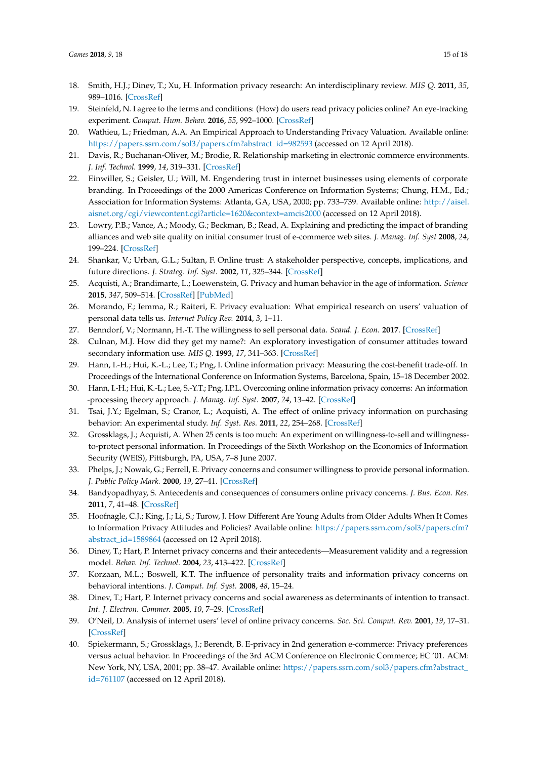- <span id="page-14-5"></span>18. Smith, H.J.; Dinev, T.; Xu, H. Information privacy research: An interdisciplinary review. *MIS Q.* **2011**, *35*, 989–1016. [\[CrossRef\]](http://dx.doi.org/10.2307/41409970)
- 19. Steinfeld, N. I agree to the terms and conditions: (How) do users read privacy policies online? An eye-tracking experiment. *Comput. Hum. Behav.* **2016**, *55*, 992–1000. [\[CrossRef\]](http://dx.doi.org/10.1016/j.chb.2015.09.038)
- <span id="page-14-0"></span>20. Wathieu, L.; Friedman, A.A. An Empirical Approach to Understanding Privacy Valuation. Available online: [https://papers.ssrn.com/sol3/papers.cfm?abstract\\_id=982593](https://papers.ssrn.com/sol3/papers.cfm?abstract_id=982593) (accessed on 12 April 2018).
- <span id="page-14-1"></span>21. Davis, R.; Buchanan-Oliver, M.; Brodie, R. Relationship marketing in electronic commerce environments. *J. Inf. Technol.* **1999**, *14*, 319–331. [\[CrossRef\]](http://dx.doi.org/10.1080/026839699344449)
- 22. Einwiller, S.; Geisler, U.; Will, M. Engendering trust in internet businesses using elements of corporate branding. In Proceedings of the 2000 Americas Conference on Information Systems; Chung, H.M., Ed.; Association for Information Systems: Atlanta, GA, USA, 2000; pp. 733–739. Available online: [http://aisel.](http://aisel.aisnet.org/cgi/viewcontent.cgi?article=1620&context=amcis2000) [aisnet.org/cgi/viewcontent.cgi?article=1620&context=amcis2000](http://aisel.aisnet.org/cgi/viewcontent.cgi?article=1620&context=amcis2000) (accessed on 12 April 2018).
- 23. Lowry, P.B.; Vance, A.; Moody, G.; Beckman, B.; Read, A. Explaining and predicting the impact of branding alliances and web site quality on initial consumer trust of e-commerce web sites. *J. Manag. Inf. Syst* **2008**, *24*, 199–224. [\[CrossRef\]](http://dx.doi.org/10.2753/MIS0742-1222240408)
- <span id="page-14-2"></span>24. Shankar, V.; Urban, G.L.; Sultan, F. Online trust: A stakeholder perspective, concepts, implications, and future directions. *J. Strateg. Inf. Syst.* **2002**, *11*, 325–344. [\[CrossRef\]](http://dx.doi.org/10.1016/S0963-8687(02)00022-7)
- <span id="page-14-3"></span>25. Acquisti, A.; Brandimarte, L.; Loewenstein, G. Privacy and human behavior in the age of information. *Science* **2015**, *347*, 509–514. [\[CrossRef\]](http://dx.doi.org/10.1126/science.aaa1465) [\[PubMed\]](http://www.ncbi.nlm.nih.gov/pubmed/25635091)
- <span id="page-14-4"></span>26. Morando, F.; Iemma, R.; Raiteri, E. Privacy evaluation: What empirical research on users' valuation of personal data tells us. *Internet Policy Rev.* **2014**, *3*, 1–11.
- <span id="page-14-6"></span>27. Benndorf, V.; Normann, H.-T. The willingness to sell personal data. *Scand. J. Econ.* **2017**. [\[CrossRef\]](http://dx.doi.org/10.1111/sjoe.12247)
- 28. Culnan, M.J. How did they get my name?: An exploratory investigation of consumer attitudes toward secondary information use. *MIS Q.* **1993**, *17*, 341–363. [\[CrossRef\]](http://dx.doi.org/10.2307/249775)
- 29. Hann, I.-H.; Hui, K.-L.; Lee, T.; Png, I. Online information privacy: Measuring the cost-benefit trade-off. In Proceedings of the International Conference on Information Systems, Barcelona, Spain, 15–18 December 2002.
- 30. Hann, I.-H.; Hui, K.-L.; Lee, S.-Y.T.; Png, I.P.L. Overcoming online information privacy concerns: An information -processing theory approach. *J. Manag. Inf. Syst.* **2007**, *24*, 13–42. [\[CrossRef\]](http://dx.doi.org/10.2753/MIS0742-1222240202)
- <span id="page-14-7"></span>31. Tsai, J.Y.; Egelman, S.; Cranor, L.; Acquisti, A. The effect of online privacy information on purchasing behavior: An experimental study. *Inf. Syst. Res.* **2011**, *22*, 254–268. [\[CrossRef\]](http://dx.doi.org/10.1287/isre.1090.0260)
- <span id="page-14-8"></span>32. Grossklags, J.; Acquisti, A. When 25 cents is too much: An experiment on willingness-to-sell and willingnessto-protect personal information. In Proceedings of the Sixth Workshop on the Economics of Information Security (WEIS), Pittsburgh, PA, USA, 7–8 June 2007.
- <span id="page-14-9"></span>33. Phelps, J.; Nowak, G.; Ferrell, E. Privacy concerns and consumer willingness to provide personal information. *J. Public Policy Mark.* **2000**, *19*, 27–41. [\[CrossRef\]](http://dx.doi.org/10.1509/jppm.19.1.27.16941)
- <span id="page-14-10"></span>34. Bandyopadhyay, S. Antecedents and consequences of consumers online privacy concerns. *J. Bus. Econ. Res.* **2011**, *7*, 41–48. [\[CrossRef\]](http://dx.doi.org/10.19030/jber.v7i3.2269)
- <span id="page-14-11"></span>35. Hoofnagle, C.J.; King, J.; Li, S.; Turow, J. How Different Are Young Adults from Older Adults When It Comes to Information Privacy Attitudes and Policies? Available online: [https://papers.ssrn.com/sol3/papers.cfm?](https://papers.ssrn.com/sol3/papers.cfm?abstract_id=1589864) [abstract\\_id=1589864](https://papers.ssrn.com/sol3/papers.cfm?abstract_id=1589864) (accessed on 12 April 2018).
- <span id="page-14-12"></span>36. Dinev, T.; Hart, P. Internet privacy concerns and their antecedents—Measurement validity and a regression model. *Behav. Inf. Technol.* **2004**, *23*, 413–422. [\[CrossRef\]](http://dx.doi.org/10.1080/01449290410001715723)
- <span id="page-14-13"></span>37. Korzaan, M.L.; Boswell, K.T. The influence of personality traits and information privacy concerns on behavioral intentions. *J. Comput. Inf. Syst.* **2008**, *48*, 15–24.
- <span id="page-14-14"></span>38. Dinev, T.; Hart, P. Internet privacy concerns and social awareness as determinants of intention to transact. *Int. J. Electron. Commer.* **2005**, *10*, 7–29. [\[CrossRef\]](http://dx.doi.org/10.2753/JEC1086-4415100201)
- <span id="page-14-15"></span>39. O'Neil, D. Analysis of internet users' level of online privacy concerns. *Soc. Sci. Comput. Rev.* **2001**, *19*, 17–31. [\[CrossRef\]](http://dx.doi.org/10.1177/089443930101900103)
- <span id="page-14-16"></span>40. Spiekermann, S.; Grossklags, J.; Berendt, B. E-privacy in 2nd generation e-commerce: Privacy preferences versus actual behavior. In Proceedings of the 3rd ACM Conference on Electronic Commerce; EC '01. ACM: New York, NY, USA, 2001; pp. 38–47. Available online: [https://papers.ssrn.com/sol3/papers.cfm?abstract\\_](https://papers.ssrn.com/sol3/papers.cfm?abstract_id=761107) [id=761107](https://papers.ssrn.com/sol3/papers.cfm?abstract_id=761107) (accessed on 12 April 2018).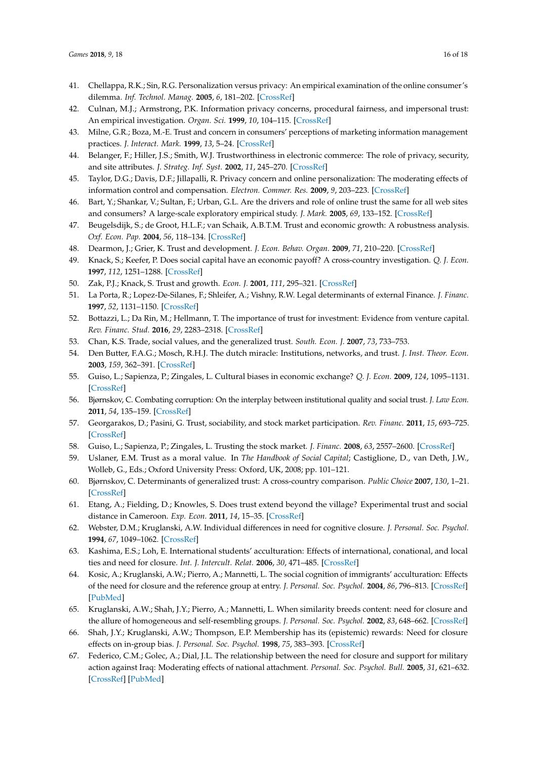- <span id="page-15-0"></span>41. Chellappa, R.K.; Sin, R.G. Personalization versus privacy: An empirical examination of the online consumer's dilemma. *Inf. Technol. Manag.* **2005**, *6*, 181–202. [\[CrossRef\]](http://dx.doi.org/10.1007/s10799-005-5879-y)
- <span id="page-15-1"></span>42. Culnan, M.J.; Armstrong, P.K. Information privacy concerns, procedural fairness, and impersonal trust: An empirical investigation. *Organ. Sci.* **1999**, *10*, 104–115. [\[CrossRef\]](http://dx.doi.org/10.1287/orsc.10.1.104)
- <span id="page-15-2"></span>43. Milne, G.R.; Boza, M.-E. Trust and concern in consumers' perceptions of marketing information management practices. *J. Interact. Mark.* **1999**, *13*, 5–24. [\[CrossRef\]](http://dx.doi.org/10.1002/(SICI)1520-6653(199924)13:1<5::AID-DIR2>3.0.CO;2-9)
- <span id="page-15-3"></span>44. Belanger, F.; Hiller, J.S.; Smith, W.J. Trustworthiness in electronic commerce: The role of privacy, security, and site attributes. *J. Strateg. Inf. Syst.* **2002**, *11*, 245–270. [\[CrossRef\]](http://dx.doi.org/10.1016/S0963-8687(02)00018-5)
- <span id="page-15-4"></span>45. Taylor, D.G.; Davis, D.F.; Jillapalli, R. Privacy concern and online personalization: The moderating effects of information control and compensation. *Electron. Commer. Res.* **2009**, *9*, 203–223. [\[CrossRef\]](http://dx.doi.org/10.1007/s10660-009-9036-2)
- <span id="page-15-5"></span>46. Bart, Y.; Shankar, V.; Sultan, F.; Urban, G.L. Are the drivers and role of online trust the same for all web sites and consumers? A large-scale exploratory empirical study. *J. Mark.* **2005**, *69*, 133–152. [\[CrossRef\]](http://dx.doi.org/10.1509/jmkg.2005.69.4.133)
- <span id="page-15-6"></span>47. Beugelsdijk, S.; de Groot, H.L.F.; van Schaik, A.B.T.M. Trust and economic growth: A robustness analysis. *Oxf. Econ. Pap.* **2004**, *56*, 118–134. [\[CrossRef\]](http://dx.doi.org/10.1093/oep/56.1.118)
- 48. Dearmon, J.; Grier, K. Trust and development. *J. Econ. Behav. Organ.* **2009**, *71*, 210–220. [\[CrossRef\]](http://dx.doi.org/10.1016/j.jebo.2009.02.011)
- 49. Knack, S.; Keefer, P. Does social capital have an economic payoff? A cross-country investigation. *Q. J. Econ.* **1997**, *112*, 1251–1288. [\[CrossRef\]](http://dx.doi.org/10.1162/003355300555475)
- <span id="page-15-7"></span>50. Zak, P.J.; Knack, S. Trust and growth. *Econ. J.* **2001**, *111*, 295–321. [\[CrossRef\]](http://dx.doi.org/10.1111/1468-0297.00609)
- <span id="page-15-8"></span>51. La Porta, R.; Lopez-De-Silanes, F.; Shleifer, A.; Vishny, R.W. Legal determinants of external Finance. *J. Financ.* **1997**, *52*, 1131–1150. [\[CrossRef\]](http://dx.doi.org/10.1111/j.1540-6261.1997.tb02727.x)
- <span id="page-15-9"></span>52. Bottazzi, L.; Da Rin, M.; Hellmann, T. The importance of trust for investment: Evidence from venture capital. *Rev. Financ. Stud.* **2016**, *29*, 2283–2318. [\[CrossRef\]](http://dx.doi.org/10.1093/rfs/hhw023)
- 53. Chan, K.S. Trade, social values, and the generalized trust. *South. Econ. J.* **2007**, *73*, 733–753.
- 54. Den Butter, F.A.G.; Mosch, R.H.J. The dutch miracle: Institutions, networks, and trust. *J. Inst. Theor. Econ.* **2003**, *159*, 362–391. [\[CrossRef\]](http://dx.doi.org/10.1628/0932456032974844)
- <span id="page-15-10"></span>55. Guiso, L.; Sapienza, P.; Zingales, L. Cultural biases in economic exchange? *Q. J. Econ.* **2009**, *124*, 1095–1131. [\[CrossRef\]](http://dx.doi.org/10.1162/qjec.2009.124.3.1095)
- <span id="page-15-11"></span>56. Bjørnskov, C. Combating corruption: On the interplay between institutional quality and social trust. *J. Law Econ.* **2011**, *54*, 135–159. [\[CrossRef\]](http://dx.doi.org/10.1086/652421)
- <span id="page-15-12"></span>57. Georgarakos, D.; Pasini, G. Trust, sociability, and stock market participation. *Rev. Financ.* **2011**, *15*, 693–725. [\[CrossRef\]](http://dx.doi.org/10.1093/rof/rfr028)
- <span id="page-15-13"></span>58. Guiso, L.; Sapienza, P.; Zingales, L. Trusting the stock market. *J. Financ.* **2008**, *63*, 2557–2600. [\[CrossRef\]](http://dx.doi.org/10.1111/j.1540-6261.2008.01408.x)
- <span id="page-15-14"></span>59. Uslaner, E.M. Trust as a moral value. In *The Handbook of Social Capital*; Castiglione, D., van Deth, J.W., Wolleb, G., Eds.; Oxford University Press: Oxford, UK, 2008; pp. 101–121.
- <span id="page-15-15"></span>60. Bjørnskov, C. Determinants of generalized trust: A cross-country comparison. *Public Choice* **2007**, *130*, 1–21. [\[CrossRef\]](http://dx.doi.org/10.1007/s11127-006-9069-1)
- <span id="page-15-16"></span>61. Etang, A.; Fielding, D.; Knowles, S. Does trust extend beyond the village? Experimental trust and social distance in Cameroon. *Exp. Econ.* **2011**, *14*, 15–35. [\[CrossRef\]](http://dx.doi.org/10.1007/s10683-010-9255-3)
- <span id="page-15-17"></span>62. Webster, D.M.; Kruglanski, A.W. Individual differences in need for cognitive closure. *J. Personal. Soc. Psychol.* **1994**, *67*, 1049–1062. [\[CrossRef\]](http://dx.doi.org/10.1037/0022-3514.67.6.1049)
- <span id="page-15-18"></span>63. Kashima, E.S.; Loh, E. International students' acculturation: Effects of international, conational, and local ties and need for closure. *Int. J. Intercult. Relat.* **2006**, *30*, 471–485. [\[CrossRef\]](http://dx.doi.org/10.1016/j.ijintrel.2005.12.003)
- <span id="page-15-19"></span>64. Kosic, A.; Kruglanski, A.W.; Pierro, A.; Mannetti, L. The social cognition of immigrants' acculturation: Effects of the need for closure and the reference group at entry. *J. Personal. Soc. Psychol.* **2004**, *86*, 796–813. [\[CrossRef\]](http://dx.doi.org/10.1037/0022-3514.86.6.796) [\[PubMed\]](http://www.ncbi.nlm.nih.gov/pubmed/15149256)
- <span id="page-15-20"></span>65. Kruglanski, A.W.; Shah, J.Y.; Pierro, A.; Mannetti, L. When similarity breeds content: need for closure and the allure of homogeneous and self-resembling groups. *J. Personal. Soc. Psychol.* **2002**, *83*, 648–662. [\[CrossRef\]](http://dx.doi.org/10.1037/0022-3514.83.3.648)
- <span id="page-15-21"></span>66. Shah, J.Y.; Kruglanski, A.W.; Thompson, E.P. Membership has its (epistemic) rewards: Need for closure effects on in-group bias. *J. Personal. Soc. Psychol.* **1998**, *75*, 383–393. [\[CrossRef\]](http://dx.doi.org/10.1037/0022-3514.75.2.383)
- <span id="page-15-22"></span>67. Federico, C.M.; Golec, A.; Dial, J.L. The relationship between the need for closure and support for military action against Iraq: Moderating effects of national attachment. *Personal. Soc. Psychol. Bull.* **2005**, *31*, 621–632. [\[CrossRef\]](http://dx.doi.org/10.1177/0146167204271588) [\[PubMed\]](http://www.ncbi.nlm.nih.gov/pubmed/15802657)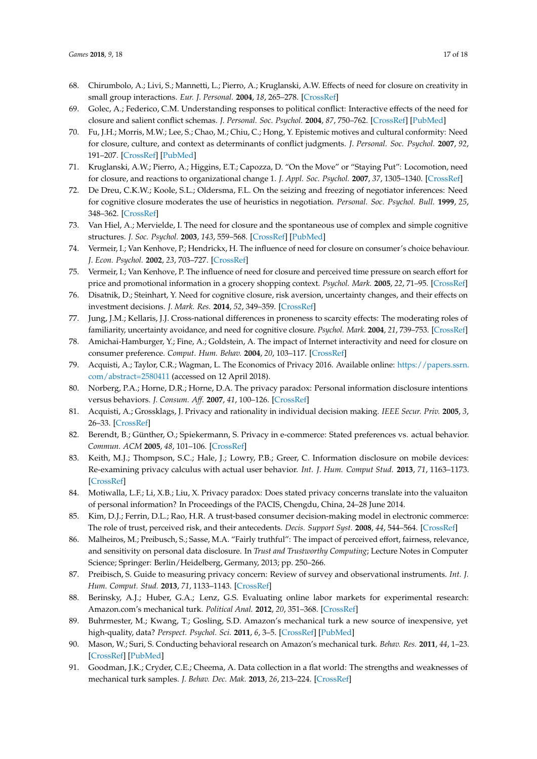- <span id="page-16-0"></span>68. Chirumbolo, A.; Livi, S.; Mannetti, L.; Pierro, A.; Kruglanski, A.W. Effects of need for closure on creativity in small group interactions. *Eur. J. Personal.* **2004**, *18*, 265–278. [\[CrossRef\]](http://dx.doi.org/10.1002/per.518)
- <span id="page-16-1"></span>69. Golec, A.; Federico, C.M. Understanding responses to political conflict: Interactive effects of the need for closure and salient conflict schemas. *J. Personal. Soc. Psychol.* **2004**, *87*, 750–762. [\[CrossRef\]](http://dx.doi.org/10.1037/0022-3514.87.6.750) [\[PubMed\]](http://www.ncbi.nlm.nih.gov/pubmed/15598104)
- <span id="page-16-2"></span>70. Fu, J.H.; Morris, M.W.; Lee, S.; Chao, M.; Chiu, C.; Hong, Y. Epistemic motives and cultural conformity: Need for closure, culture, and context as determinants of conflict judgments. *J. Personal. Soc. Psychol.* **2007**, *92*, 191–207. [\[CrossRef\]](http://dx.doi.org/10.1037/0022-3514.92.2.191) [\[PubMed\]](http://www.ncbi.nlm.nih.gov/pubmed/17279845)
- <span id="page-16-3"></span>71. Kruglanski, A.W.; Pierro, A.; Higgins, E.T.; Capozza, D. "On the Move" or "Staying Put": Locomotion, need for closure, and reactions to organizational change 1. *J. Appl. Soc. Psychol.* **2007**, *37*, 1305–1340. [\[CrossRef\]](http://dx.doi.org/10.1111/j.1559-1816.2007.00214.x)
- <span id="page-16-4"></span>72. De Dreu, C.K.W.; Koole, S.L.; Oldersma, F.L. On the seizing and freezing of negotiator inferences: Need for cognitive closure moderates the use of heuristics in negotiation. *Personal. Soc. Psychol. Bull.* **1999**, *25*, 348–362. [\[CrossRef\]](http://dx.doi.org/10.1177/0146167299025003007)
- <span id="page-16-5"></span>73. Van Hiel, A.; Mervielde, I. The need for closure and the spontaneous use of complex and simple cognitive structures. *J. Soc. Psychol.* **2003**, *143*, 559–568. [\[CrossRef\]](http://dx.doi.org/10.1080/00224540309598463) [\[PubMed\]](http://www.ncbi.nlm.nih.gov/pubmed/14609052)
- <span id="page-16-6"></span>74. Vermeir, I.; Van Kenhove, P.; Hendrickx, H. The influence of need for closure on consumer's choice behaviour. *J. Econ. Psychol.* **2002**, *23*, 703–727. [\[CrossRef\]](http://dx.doi.org/10.1016/S0167-4870(02)00135-6)
- <span id="page-16-7"></span>75. Vermeir, I.; Van Kenhove, P. The influence of need for closure and perceived time pressure on search effort for price and promotional information in a grocery shopping context. *Psychol. Mark.* **2005**, *22*, 71–95. [\[CrossRef\]](http://dx.doi.org/10.1002/mar.20047)
- <span id="page-16-8"></span>76. Disatnik, D.; Steinhart, Y. Need for cognitive closure, risk aversion, uncertainty changes, and their effects on investment decisions. *J. Mark. Res.* **2014**, *52*, 349–359. [\[CrossRef\]](http://dx.doi.org/10.1509/jmr.13.0529)
- <span id="page-16-9"></span>77. Jung, J.M.; Kellaris, J.J. Cross-national differences in proneness to scarcity effects: The moderating roles of familiarity, uncertainty avoidance, and need for cognitive closure. *Psychol. Mark.* **2004**, *21*, 739–753. [\[CrossRef\]](http://dx.doi.org/10.1002/mar.20027)
- <span id="page-16-10"></span>78. Amichai-Hamburger, Y.; Fine, A.; Goldstein, A. The impact of Internet interactivity and need for closure on consumer preference. *Comput. Hum. Behav.* **2004**, *20*, 103–117. [\[CrossRef\]](http://dx.doi.org/10.1016/S0747-5632(03)00041-4)
- <span id="page-16-11"></span>79. Acquisti, A.; Taylor, C.R.; Wagman, L. The Economics of Privacy 2016. Available online: [https://papers.ssrn.](https://papers.ssrn.com/abstract=2580411) [com/abstract=2580411](https://papers.ssrn.com/abstract=2580411) (accessed on 12 April 2018).
- <span id="page-16-12"></span>80. Norberg, P.A.; Horne, D.R.; Horne, D.A. The privacy paradox: Personal information disclosure intentions versus behaviors. *J. Consum. Aff.* **2007**, *41*, 100–126. [\[CrossRef\]](http://dx.doi.org/10.1111/j.1745-6606.2006.00070.x)
- 81. Acquisti, A.; Grossklags, J. Privacy and rationality in individual decision making. *IEEE Secur. Priv.* **2005**, *3*, 26–33. [\[CrossRef\]](http://dx.doi.org/10.1109/MSP.2005.22)
- 82. Berendt, B.; Günther, O.; Spiekermann, S. Privacy in e-commerce: Stated preferences vs. actual behavior. *Commun. ACM* **2005**, *48*, 101–106. [\[CrossRef\]](http://dx.doi.org/10.1145/1053291.1053295)
- 83. Keith, M.J.; Thompson, S.C.; Hale, J.; Lowry, P.B.; Greer, C. Information disclosure on mobile devices: Re-examining privacy calculus with actual user behavior. *Int. J. Hum. Comput Stud.* **2013**, *71*, 1163–1173. [\[CrossRef\]](http://dx.doi.org/10.1016/j.ijhcs.2013.08.016)
- <span id="page-16-13"></span>84. Motiwalla, L.F.; Li, X.B.; Liu, X. Privacy paradox: Does stated privacy concerns translate into the valuaiton of personal information? In Proceedings of the PACIS, Chengdu, China, 24–28 June 2014.
- <span id="page-16-14"></span>85. Kim, D.J.; Ferrin, D.L.; Rao, H.R. A trust-based consumer decision-making model in electronic commerce: The role of trust, perceived risk, and their antecedents. *Decis. Support Syst.* **2008**, *44*, 544–564. [\[CrossRef\]](http://dx.doi.org/10.1016/j.dss.2007.07.001)
- 86. Malheiros, M.; Preibusch, S.; Sasse, M.A. "Fairly truthful": The impact of perceived effort, fairness, relevance, and sensitivity on personal data disclosure. In *Trust and Trustworthy Computing*; Lecture Notes in Computer Science; Springer: Berlin/Heidelberg, Germany, 2013; pp. 250–266.
- <span id="page-16-15"></span>87. Preibisch, S. Guide to measuring privacy concern: Review of survey and observational instruments. *Int. J. Hum. Comput. Stud.* **2013**, *71*, 1133–1143. [\[CrossRef\]](http://dx.doi.org/10.1016/j.ijhcs.2013.09.002)
- <span id="page-16-16"></span>88. Berinsky, A.J.; Huber, G.A.; Lenz, G.S. Evaluating online labor markets for experimental research: Amazon.com's mechanical turk. *Political Anal.* **2012**, *20*, 351–368. [\[CrossRef\]](http://dx.doi.org/10.1093/pan/mpr057)
- 89. Buhrmester, M.; Kwang, T.; Gosling, S.D. Amazon's mechanical turk a new source of inexpensive, yet high-quality, data? *Perspect. Psychol. Sci.* **2011**, *6*, 3–5. [\[CrossRef\]](http://dx.doi.org/10.1177/1745691610393980) [\[PubMed\]](http://www.ncbi.nlm.nih.gov/pubmed/26162106)
- <span id="page-16-17"></span>90. Mason, W.; Suri, S. Conducting behavioral research on Amazon's mechanical turk. *Behav. Res.* **2011**, *44*, 1–23. [\[CrossRef\]](http://dx.doi.org/10.3758/s13428-011-0124-6) [\[PubMed\]](http://www.ncbi.nlm.nih.gov/pubmed/21717266)
- <span id="page-16-18"></span>91. Goodman, J.K.; Cryder, C.E.; Cheema, A. Data collection in a flat world: The strengths and weaknesses of mechanical turk samples. *J. Behav. Dec. Mak.* **2013**, *26*, 213–224. [\[CrossRef\]](http://dx.doi.org/10.1002/bdm.1753)